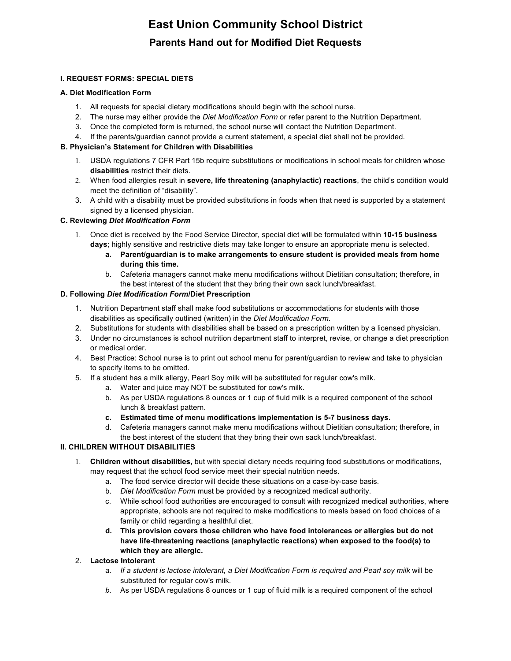# **East Union Community School District Parents Hand out for Modified Diet Requests**

### **I. REQUEST FORMS: SPECIAL DIETS**

### **A. Diet Modification Form**

- 1. All requests for special dietary modifications should begin with the school nurse.
- 2. The nurse may either provide the *Diet Modification Form* or refer parent to the Nutrition Department.
- 3. Once the completed form is returned, the school nurse will contact the Nutrition Department.
- 4. If the parents/guardian cannot provide a current statement, a special diet shall not be provided.

### **B. Physician's Statement for Children with Disabilities**

- 1. USDA regulations 7 CFR Part 15b require substitutions or modifications in school meals for children whose **disabilities** restrict their diets.
- 2. When food allergies result in **severe, life threatening (anaphylactic) reactions**, the child's condition would meet the definition of "disability".
- 3. A child with a disability must be provided substitutions in foods when that need is supported by a statement signed by a licensed physician.

### **C. Reviewing** *Diet Modification Form*

- 1. Once diet is received by the Food Service Director, special diet will be formulated within **10-15 business days**; highly sensitive and restrictive diets may take longer to ensure an appropriate menu is selected.
	- **a. Parent/guardian is to make arrangements to ensure student is provided meals from home during this time.**
	- b. Cafeteria managers cannot make menu modifications without Dietitian consultation; therefore, in the best interest of the student that they bring their own sack lunch/breakfast.

### **D. Following** *Diet Modification Form***/Diet Prescription**

- 1. Nutrition Department staff shall make food substitutions or accommodations for students with those disabilities as specifically outlined (written) in the *Diet Modification Form.*
- 2. Substitutions for students with disabilities shall be based on a prescription written by a licensed physician.
- 3. Under no circumstances is school nutrition department staff to interpret, revise, or change a diet prescription or medical order.
- 4. Best Practice: School nurse is to print out school menu for parent/guardian to review and take to physician to specify items to be omitted.
- 5. If a student has a milk allergy, Pearl Soy milk will be substituted for regular cow's milk.
	- a. Water and juice may NOT be substituted for cow's milk.
	- b. As per USDA regulations 8 ounces or 1 cup of fluid milk is a required component of the school lunch & breakfast pattern.
	- **c. Estimated time of menu modifications implementation is 5-7 business days.**
	- d. Cafeteria managers cannot make menu modifications without Dietitian consultation; therefore, in the best interest of the student that they bring their own sack lunch/breakfast.

### **II. CHILDREN WITHOUT DISABILITIES**

- 1. **Children without disabilities,** but with special dietary needs requiring food substitutions or modifications, may request that the school food service meet their special nutrition needs.
	- a. The food service director will decide these situations on a case-by-case basis.
	- b. *Diet Modification Form* must be provided by a recognized medical authority.
	- c. While school food authorities are encouraged to consult with recognized medical authorities, where appropriate, schools are not required to make modifications to meals based on food choices of a family or child regarding a healthful diet.
	- **d. This provision covers those children who have food intolerances or allergies but do not have life-threatening reactions (anaphylactic reactions) when exposed to the food(s) to which they are allergic.**
- 2. **Lactose Intolerant**
	- a. If a student is lactose intolerant, a Diet Modification Form is required and Pearl soy milk will be substituted for regular cow's milk.
	- *b.* As per USDA regulations 8 ounces or 1 cup of fluid milk is a required component of the school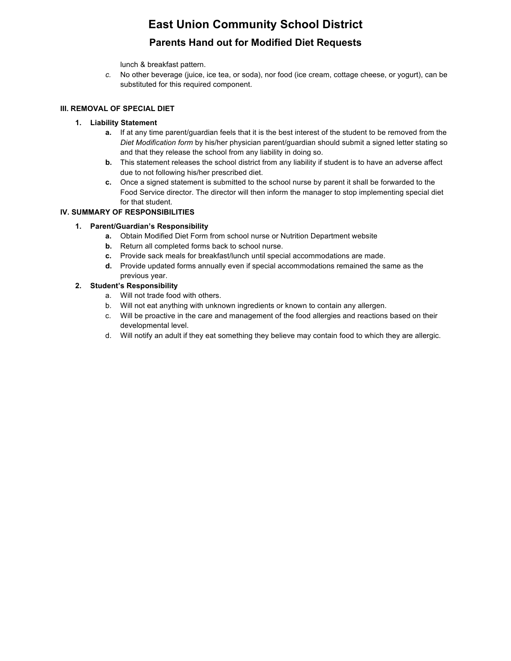## **East Union Community School District**

### **Parents Hand out for Modified Diet Requests**

lunch & breakfast pattern.

*c.* No other beverage (juice, ice tea, or soda), nor food (ice cream, cottage cheese, or yogurt), can be substituted for this required component.

### **III. REMOVAL OF SPECIAL DIET**

### **1. Liability Statement**

- **a.** If at any time parent/guardian feels that it is the best interest of the student to be removed from the *Diet Modification form* by his/her physician parent/guardian should submit a signed letter stating so and that they release the school from any liability in doing so.
- **b.** This statement releases the school district from any liability if student is to have an adverse affect due to not following his/her prescribed diet.
- **c.** Once a signed statement is submitted to the school nurse by parent it shall be forwarded to the Food Service director. The director will then inform the manager to stop implementing special diet for that student.

### **IV. SUMMARY OF RESPONSIBILITIES**

### **1. Parent/Guardian's Responsibility**

- **a.** Obtain Modified Diet Form from school nurse or Nutrition Department website
- **b.** Return all completed forms back to school nurse.
- **c.** Provide sack meals for breakfast/lunch until special accommodations are made.
- **d.** Provide updated forms annually even if special accommodations remained the same as the previous year.

### **2. Student's Responsibility**

- a. Will not trade food with others.
- b. Will not eat anything with unknown ingredients or known to contain any allergen.
- c. Will be proactive in the care and management of the food allergies and reactions based on their developmental level.
- d. Will notify an adult if they eat something they believe may contain food to which they are allergic.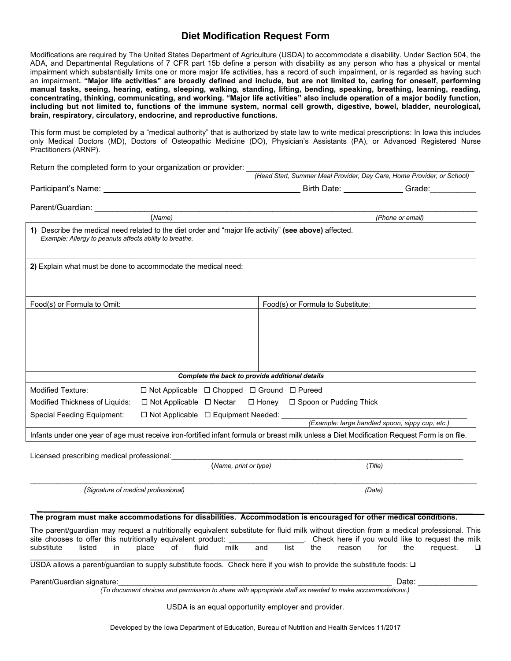### **Diet Modification Request Form**

Modifications are required by The United States Department of Agriculture (USDA) to accommodate a disability. Under Section 504, the ADA, and Departmental Regulations of 7 CFR part 15b define a person with disability as any person who has a physical or mental impairment which substantially limits one or more major life activities, has a record of such impairment, or is regarded as having such an impairment**. "Major life activities" are broadly defined and include, but are not limited to, caring for oneself, performing manual tasks, seeing, hearing, eating, sleeping, walking, standing, lifting, bending, speaking, breathing, learning, reading, concentrating, thinking, communicating, and working. "Major life activities" also include operation of a major bodily function, including but not limited to, functions of the immune system, normal cell growth, digestive, bowel, bladder, neurological, brain, respiratory, circulatory, endocrine, and reproductive functions.** 

This form must be completed by a "medical authority" that is authorized by state law to write medical prescriptions: In Iowa this includes only Medical Doctors (MD), Doctors of Osteopathic Medicine (DO), Physician's Assistants (PA), or Advanced Registered Nurse Practitioners (ARNP).

| Return the completed form to your organization or provider: |  |  |
|-------------------------------------------------------------|--|--|
|                                                             |  |  |

|                     |        |             | (Head Start, Summer Meal Provider, Day Care, Home Provider, or School) |  |
|---------------------|--------|-------------|------------------------------------------------------------------------|--|
| Participant's Name: |        | Birth Date: | Grade:                                                                 |  |
| Parent/Guardian:    |        |             |                                                                        |  |
|                     | (Name) |             | (Phone or email)                                                       |  |
|                     |        |             |                                                                        |  |

| 1) Describe the medical need related to the diet order and "major life activity" (see above) affected.<br>Example: Allergy to peanuts affects ability to breathe. |                                                                                                                                                                                              |  |  |  |
|-------------------------------------------------------------------------------------------------------------------------------------------------------------------|----------------------------------------------------------------------------------------------------------------------------------------------------------------------------------------------|--|--|--|
| 2) Explain what must be done to accommodate the medical need:                                                                                                     |                                                                                                                                                                                              |  |  |  |
|                                                                                                                                                                   |                                                                                                                                                                                              |  |  |  |
| Food(s) or Formula to Omit:                                                                                                                                       | Food(s) or Formula to Substitute:                                                                                                                                                            |  |  |  |
|                                                                                                                                                                   |                                                                                                                                                                                              |  |  |  |
|                                                                                                                                                                   |                                                                                                                                                                                              |  |  |  |
|                                                                                                                                                                   |                                                                                                                                                                                              |  |  |  |
|                                                                                                                                                                   | Complete the back to provide additional details                                                                                                                                              |  |  |  |
| <b>Modified Texture:</b>                                                                                                                                          | $\Box$ Not Applicable $\Box$ Chopped $\Box$ Ground $\Box$ Pureed                                                                                                                             |  |  |  |
| Modified Thickness of Liquids:<br>$\Box$ Not Applicable $\Box$ Nectar                                                                                             | $\Box$ Honey<br>$\Box$ Spoon or Pudding Thick                                                                                                                                                |  |  |  |
| Special Feeding Equipment:<br>$\Box$ Not Applicable $\Box$ Equipment Needed:                                                                                      |                                                                                                                                                                                              |  |  |  |
| (Example: large handled spoon, sippy cup, etc.)                                                                                                                   |                                                                                                                                                                                              |  |  |  |
|                                                                                                                                                                   | Infants under one year of age must receive iron-fortified infant formula or breast milk unless a Diet Modification Request Form is on file.                                                  |  |  |  |
| Licensed prescribing medical professional:                                                                                                                        |                                                                                                                                                                                              |  |  |  |
|                                                                                                                                                                   | (Name, print or type)<br>(Title)                                                                                                                                                             |  |  |  |
| (Signature of medical professional)                                                                                                                               | (Date)                                                                                                                                                                                       |  |  |  |
|                                                                                                                                                                   |                                                                                                                                                                                              |  |  |  |
|                                                                                                                                                                   | The program must make accommodations for disabilities. Accommodation is encouraged for other medical conditions.                                                                             |  |  |  |
| site chooses to offer this nutritionally equivalent product:                                                                                                      | The parent/guardian may request a nutritionally equivalent substitute for fluid milk without direction from a medical professional. This<br>Check here if you would like to request the milk |  |  |  |
| substitute<br>listed<br>fluid<br>in<br>place<br>of                                                                                                                | milk<br>the<br>and<br>list<br>reason<br>for<br>the<br>request.<br>□                                                                                                                          |  |  |  |
|                                                                                                                                                                   | USDA allows a parent/guardian to supply substitute foods. Check here if you wish to provide the substitute foods: □                                                                          |  |  |  |
| Parent/Guardian signature:                                                                                                                                        | Date:                                                                                                                                                                                        |  |  |  |

*(To document choices and permission to share with appropriate staff as needed to make accommodations.)* 

USDA is an equal opportunity employer and provider.